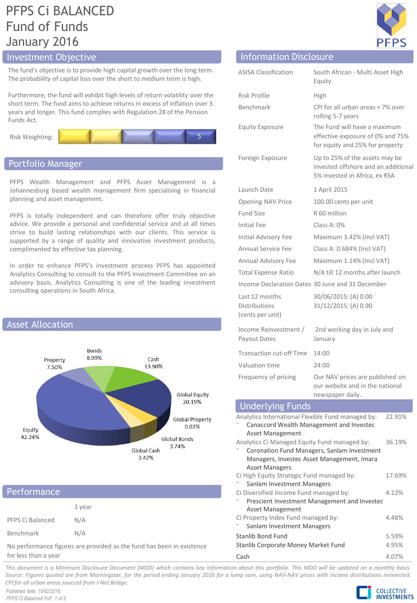# PFPS Ci BALANCED Fund of Funds January 2016

## Investment Objective Information Disclosure Information Disclosure

The fund's objective is to provide high capital growth over the long term. The probability of capital loss over the short to medium term is high.

Furthermore, the fund will exhibit high levels of return volatility over the short term. The fund aims to achieve returns in excess of inflation over 3 years and longer. This fund complies with Regulation 28 of the Pension Funds Act.





### Portfolio Manager

PFPS Wealth Management and PFPS Asset Management is a Johannesburg based wealth management firm specialising in financial planning and asset management.

PFPS is totally independent and can therefore offer truly objective advice. We provide a personal and confidential service and at all times strive to build lasting relationships with our clients. This service is supported by a range of quality and innovative investment products, complimented by effective tax planning.

In order to enhance PFPS's investment process PFPS has appointed Analytics Consulting to consult to the PFPS Investment Committee on an advisory basis. Analytics Consulting is one of the leading investment consulting operations in South Africa.



| Performance                                                           |        |  |
|-----------------------------------------------------------------------|--------|--|
|                                                                       | 1 year |  |
| PFPS Ci Balanced                                                      | N/A    |  |
| Benchmark                                                             | N/A    |  |
| No performance figures are provided as the fund has been in existence |        |  |

for less than a year

| ormation Disclosure |  |
|---------------------|--|

| <b>ASISA Classification</b>                                                                                                                                              | South African - Multi Asset High<br>Equity                                                             |                  |  |
|--------------------------------------------------------------------------------------------------------------------------------------------------------------------------|--------------------------------------------------------------------------------------------------------|------------------|--|
| Risk Profile                                                                                                                                                             | High                                                                                                   |                  |  |
| <b>Benchmark</b>                                                                                                                                                         | CPI for all urban areas + 7% over<br>rolling 5-7 years                                                 |                  |  |
| <b>Equity Exposure</b>                                                                                                                                                   | The Fund will have a maximum<br>effective exposure of 0% and 75%<br>for equity and 25% for property    |                  |  |
| Foreign Exposure                                                                                                                                                         | Up to 25% of the assets may be<br>invested offshore and an additional<br>5% invested in Africa, ex RSA |                  |  |
| Launch Date                                                                                                                                                              | 1 April 2015                                                                                           |                  |  |
| Opening NAV Price                                                                                                                                                        | 100.00 cents per unit                                                                                  |                  |  |
| <b>Fund Size</b>                                                                                                                                                         | R 60 million                                                                                           |                  |  |
| Initial Fee                                                                                                                                                              | Class A: $0\%$                                                                                         |                  |  |
| <b>Initial Advisory Fee</b>                                                                                                                                              | Maximum 3.42% (Incl VAT)                                                                               |                  |  |
| <b>Annual Service Fee</b>                                                                                                                                                | Class A: 0.684% (Incl VAT)                                                                             |                  |  |
| Annual Advisory Fee                                                                                                                                                      | Maximum 1.14% (Incl VAT)                                                                               |                  |  |
| <b>Total Expense Ratio</b>                                                                                                                                               | N/A till 12 months after launch                                                                        |                  |  |
| Income Declaration Dates 30 June and 31 December                                                                                                                         |                                                                                                        |                  |  |
| Last 12 months<br><b>Distributions</b><br>(cents per unit)                                                                                                               | 30/06/2015: (A) 0.00<br>31/12/2015: (A) 0.90                                                           |                  |  |
| Income Reinvestment /<br>Payout Dates                                                                                                                                    | 2nd working day in July and<br>January                                                                 |                  |  |
| <b>Transaction cut-off Time</b>                                                                                                                                          | 14:00                                                                                                  |                  |  |
| Valuation time                                                                                                                                                           | 24:00                                                                                                  |                  |  |
| Frequency of pricing                                                                                                                                                     | Our NAV prices are published on<br>our website and in the national<br>newspaper daily.                 |                  |  |
| <b>Underlying Funds</b>                                                                                                                                                  |                                                                                                        |                  |  |
| Analytics International Flexible Fund managed by:<br>Canaccord Wealth Management and Investec<br><b>Asset Management</b><br>Analytics Ci Managed Equity Fund managed by: | Coronation Fund Managers, Sanlam Investment<br>Managers, Investec Asset Management, Imara              | 22.91%<br>36.19% |  |
| <b>Asset Managers</b><br>Ci High Equity Strategic Fund managed by:<br>Sanlam Investment Managers                                                                         |                                                                                                        | 17.69%           |  |
| Ci Diversified Income Fund managed by:<br>4.12%<br>Prescient Investment Management and Investec<br><b>Asset Management</b>                                               |                                                                                                        |                  |  |
| Ci Property Index Fund managed by:<br>Sanlam Investment Managers                                                                                                         |                                                                                                        | 4.48%            |  |
| Stanlib Bond Fund<br>Stanlib Corporate Money Market Fund                                                                                                                 | 5.59%<br>4.95%                                                                                         |                  |  |
| Cash                                                                                                                                                                     | 4.07%                                                                                                  |                  |  |

This document is a Minimum Disclosure Document (MDD) which contains key information about this portfolio. This MDD will be updated on a monthly basis. Source: Figures guoted are from Morningstar, for the period ending January 2016 for a lump sum, using NAV-NAV prices with income distributions reinvested. *CPI for all urban areas sourced from I-Net Bridge.*

Published date: 15/02/2016 *PFPS Ci Balanced FoF: 1 of 2*